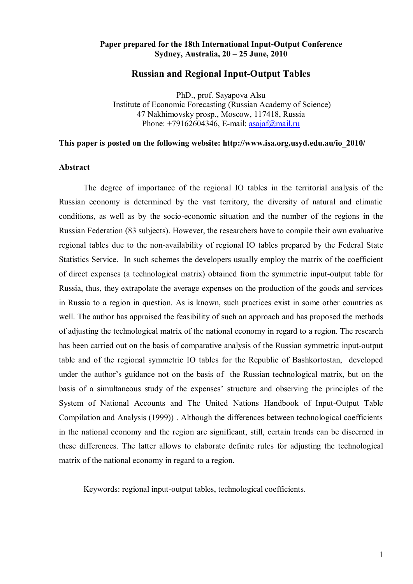## **Paper prepared for the 18th International Input-Output Conference Sydney, Australia, 20 – 25 June, 2010**

## **Russian and Regional Input-Output Tables**

PhD., prof. Sayapova Alsu Institute of Economic Forecasting (Russian Academy of Science) 47 Nakhimovsky prosp., Moscow, 117418, Russia Phone:  $+79162604346$ , E-mail: [asajaf@mail.ru](mailto:asajaf@mail.ru)

### **This paper is posted on the following website: http://www.isa.org.usyd.edu.au/io\_2010/**

#### **Abstract**

The degree of importance of the regional IO tables in the territorial analysis of the Russian economy is determined by the vast territory, the diversity of natural and climatic conditions, as well as by the socio-economic situation and the number of the regions in the Russian Federation (83 subjects). However, the researchers have to compile their own evaluative regional tables due to the non-availability of regional IO tables prepared by the Federal State Statistics Service. In such schemes the developers usually employ the matrix of the coefficient of direct expenses (a technological matrix) obtained from the symmetric input-output table for Russia, thus, they extrapolate the average expenses on the production of the goods and services in Russia to a region in question. As is known, such practices exist in some other countries as well. The author has appraised the feasibility of such an approach and has proposed the methods of adjusting the technological matrix of the national economy in regard to a region. The research has been carried out on the basis of comparative analysis of the Russian symmetric input-output table and of the regional symmetric IO tables for the Republic of Bashkortostan, developed under the author's guidance not on the basis of the Russian technological matrix, but on the basis of a simultaneous study of the expenses' structure and observing the principles of the System of National Accounts and The United Nations Handbook of Input-Output Table Compilation and Analysis (1999)) . Although the differences between technological coefficients in the national economy and the region are significant, still, certain trends can be discerned in these differences. The latter allows to elaborate definite rules for adjusting the technological matrix of the national economy in regard to a region.

Keywords: regional input-output tables, technological coefficients.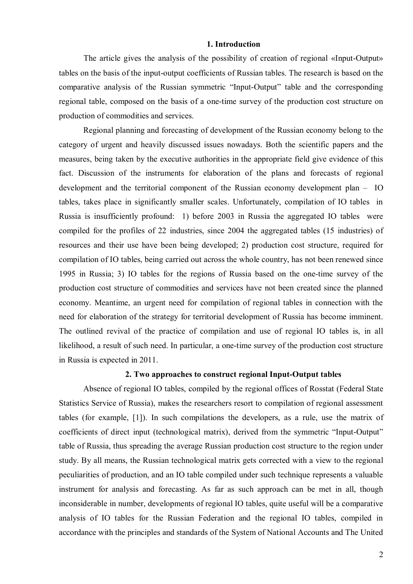## **1. Introduction**

The article gives the analysis of the possibility of creation of regional «Input-Output» tables on the basis of the input-output coefficients of Russian tables. The research is based on the comparative analysis of the Russian symmetric "Input-Output" table and the corresponding regional table, composed on the basis of a one-time survey of the production cost structure on production of commodities and services.

Regional planning and forecasting of development of the Russian economy belong to the category of urgent and heavily discussed issues nowadays. Both the scientific papers and the measures, being taken by the executive authorities in the appropriate field give evidence of this fact. Discussion of the instruments for elaboration of the plans and forecasts of regional development and the territorial component of the Russian economy development plan – IO tables, takes place in significantly smaller scales. Unfortunately, compilation of IO tables in Russia is insufficiently profound: 1) before 2003 in Russia the aggregated IO tables were compiled for the profiles of 22 industries, since 2004 the aggregated tables (15 industries) of resources and their use have been being developed; 2) production cost structure, required for compilation of IO tables, being carried out across the whole country, has not been renewed since 1995 in Russia; 3) IO tables for the regions of Russia based on the one-time survey of the production cost structure of commodities and services have not been created since the planned economy. Meantime, an urgent need for compilation of regional tables in connection with the need for elaboration of the strategy for territorial development of Russia has become imminent. The outlined revival of the practice of compilation and use of regional IO tables is, in all likelihood, a result of such need. In particular, a one-time survey of the production cost structure in Russia is expected in 2011.

#### **2. Two approaches to construct regional Input-Output tables**

Absence of regional IO tables, compiled by the regional offices of Rosstat (Federal State Statistics Service of Russia), makes the researchers resort to compilation of regional assessment tables (for example, [1]). In such compilations the developers, as a rule, use the matrix of coefficients of direct input (technological matrix), derived from the symmetric "Input-Output" table of Russia, thus spreading the average Russian production cost structure to the region under study. By all means, the Russian technological matrix gets corrected with a view to the regional peculiarities of production, and an IO table compiled under such technique represents a valuable instrument for analysis and forecasting. As far as such approach can be met in all, though inconsiderable in number, developments of regional IO tables, quite useful will be a comparative analysis of IO tables for the Russian Federation and the regional IO tables, compiled in accordance with the principles and standards of the System of National Accounts and The United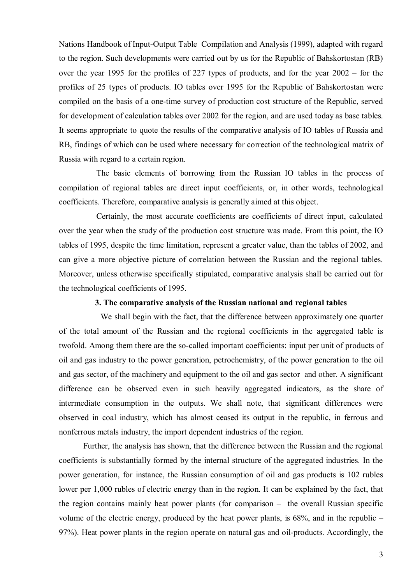Nations Handbook of Input-Output Table Compilation and Analysis (1999), adapted with regard to the region. Such developments were carried out by us for the Republic of Bahskortostan (RB) over the year 1995 for the profiles of 227 types of products, and for the year 2002 – for the profiles of 25 types of products. IO tables over 1995 for the Republic of Bahskortostan were compiled on the basis of a one-time survey of production cost structure of the Republic, served for development of calculation tables over 2002 for the region, and are used today as base tables. It seems appropriate to quote the results of the comparative analysis of IO tables of Russia and RB, findings of which can be used where necessary for correction of the technological matrix of Russia with regard to a certain region.

The basic elements of borrowing from the Russian IO tables in the process of compilation of regional tables are direct input coefficients, or, in other words, technological coefficients. Therefore, comparative analysis is generally aimed at this object.

Certainly, the most accurate coefficients are coefficients of direct input, calculated over the year when the study of the production cost structure was made. From this point, the IO tables of 1995, despite the time limitation, represent a greater value, than the tables of 2002, and can give a more objective picture of correlation between the Russian and the regional tables. Moreover, unless otherwise specifically stipulated, comparative analysis shall be carried out for the technological coefficients of 1995.

#### **3. The comparative analysis of the Russian national and regional tables**

 We shall begin with the fact, that the difference between approximately one quarter of the total amount of the Russian and the regional coefficients in the aggregated table is twofold. Among them there are the so-called important coefficients: input per unit of products of oil and gas industry to the power generation, petrochemistry, of the power generation to the oil and gas sector, of the machinery and equipment to the oil and gas sector and other. A significant difference can be observed even in such heavily aggregated indicators, as the share of intermediate consumption in the outputs. We shall note, that significant differences were observed in coal industry, which has almost ceased its output in the republic, in ferrous and nonferrous metals industry, the import dependent industries of the region.

Further, the analysis has shown, that the difference between the Russian and the regional coefficients is substantially formed by the internal structure of the aggregated industries. In the power generation, for instance, the Russian consumption of oil and gas products is 102 rubles lower per 1,000 rubles of electric energy than in the region. It can be explained by the fact, that the region contains mainly heat power plants (for comparison – the overall Russian specific volume of the electric energy, produced by the heat power plants, is 68%, and in the republic – 97%). Heat power plants in the region operate on natural gas and oil-products. Accordingly, the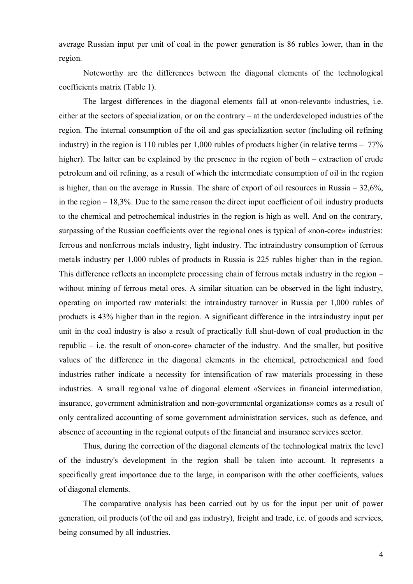average Russian input per unit of coal in the power generation is 86 rubles lower, than in the region.

Noteworthy are the differences between the diagonal elements of the technological coefficients matrix (Table 1).

The largest differences in the diagonal elements fall at «non-relevant» industries, i.e. either at the sectors of specialization, or on the contrary – at the underdeveloped industries of the region. The internal consumption of the oil and gas specialization sector (including oil refining industry) in the region is 110 rubles per 1,000 rubles of products higher (in relative terms  $-77\%$ ) higher). The latter can be explained by the presence in the region of both – extraction of crude petroleum and oil refining, as a result of which the intermediate consumption of oil in the region is higher, than on the average in Russia. The share of export of oil resources in Russia – 32,6%, in the region – 18,3%. Due to the same reason the direct input coefficient of oil industry products to the chemical and petrochemical industries in the region is high as well. And on the contrary, surpassing of the Russian coefficients over the regional ones is typical of «non-core» industries: ferrous and nonferrous metals industry, light industry. The intraindustry consumption of ferrous metals industry per 1,000 rubles of products in Russia is 225 rubles higher than in the region. This difference reflects an incomplete processing chain of ferrous metals industry in the region – without mining of ferrous metal ores. A similar situation can be observed in the light industry, operating on imported raw materials: the intraindustry turnover in Russia per 1,000 rubles of products is 43% higher than in the region. A significant difference in the intraindustry input per unit in the coal industry is also a result of practically full shut-down of coal production in the republic – i.e. the result of «non-core» character of the industry. And the smaller, but positive values of the difference in the diagonal elements in the chemical, petrochemical and food industries rather indicate a necessity for intensification of raw materials processing in these industries. A small regional value of diagonal element «Services in financial intermediation, insurance, government administration and non-governmental organizations» comes as a result of only centralized accounting of some government administration services, such as defence, and absence of accounting in the regional outputs of the financial and insurance services sector.

Thus, during the correction of the diagonal elements of the technological matrix the level of the industry's development in the region shall be taken into account. It represents a specifically great importance due to the large, in comparison with the other coefficients, values of diagonal elements.

The comparative analysis has been carried out by us for the input per unit of power generation, oil products (of the oil and gas industry), freight and trade, i.e. of goods and services, being consumed by all industries.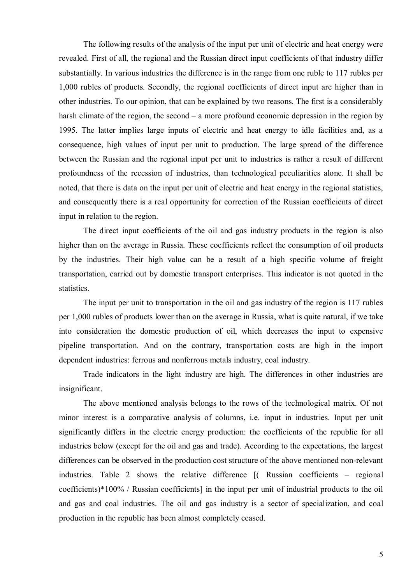The following results of the analysis of the input per unit of electric and heat energy were revealed. First of all, the regional and the Russian direct input coefficients of that industry differ substantially. In various industries the difference is in the range from one ruble to 117 rubles per 1,000 rubles of products. Secondly, the regional coefficients of direct input are higher than in other industries. To our opinion, that can be explained by two reasons. The first is a considerably harsh climate of the region, the second – a more profound economic depression in the region by 1995. The latter implies large inputs of electric and heat energy to idle facilities and, as a consequence, high values of input per unit to production. The large spread of the difference between the Russian and the regional input per unit to industries is rather a result of different profoundness of the recession of industries, than technological peculiarities alone. It shall be noted, that there is data on the input per unit of electric and heat energy in the regional statistics, and consequently there is a real opportunity for correction of the Russian coefficients of direct input in relation to the region.

The direct input coefficients of the oil and gas industry products in the region is also higher than on the average in Russia. These coefficients reflect the consumption of oil products by the industries. Their high value can be a result of a high specific volume of freight transportation, carried out by domestic transport enterprises. This indicator is not quoted in the statistics.

The input per unit to transportation in the oil and gas industry of the region is 117 rubles per 1,000 rubles of products lower than on the average in Russia, what is quite natural, if we take into consideration the domestic production of oil, which decreases the input to expensive pipeline transportation. And on the contrary, transportation costs are high in the import dependent industries: ferrous and nonferrous metals industry, coal industry.

Trade indicators in the light industry are high. The differences in other industries are insignificant.

The above mentioned analysis belongs to the rows of the technological matrix. Of not minor interest is a comparative analysis of columns, i.e. input in industries. Input per unit significantly differs in the electric energy production: the coefficients of the republic for all industries below (except for the oil and gas and trade). According to the expectations, the largest differences can be observed in the production cost structure of the above mentioned non-relevant industries. Table 2 shows the relative difference [( Russian coefficients – regional coefficients)\*100% / Russian coefficients] in the input per unit of industrial products to the oil and gas and coal industries. The oil and gas industry is a sector of specialization, and coal production in the republic has been almost completely ceased.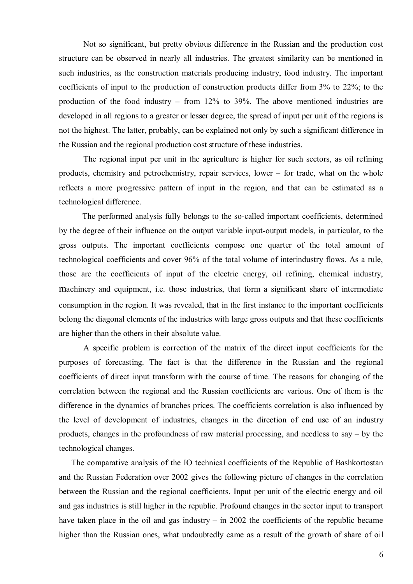Not so significant, but pretty obvious difference in the Russian and the production cost structure can be observed in nearly all industries. The greatest similarity can be mentioned in such industries, as the construction materials producing industry, food industry. The important coefficients of input to the production of construction products differ from 3% to 22%; to the production of the food industry – from 12% to 39%. The above mentioned industries are developed in all regions to a greater or lesser degree, the spread of input per unit of the regions is not the highest. The latter, probably, can be explained not only by such a significant difference in the Russian and the regional production cost structure of these industries.

The regional input per unit in the agriculture is higher for such sectors, as oil refining products, chemistry and petrochemistry, repair services, lower – for trade, what on the whole reflects a more progressive pattern of input in the region, and that can be estimated as a technological difference.

The performed analysis fully belongs to the so-called important coefficients, determined by the degree of their influence on the output variable input-output models, in particular, to the gross outputs. The important coefficients compose one quarter of the total amount of technological coefficients and cover 96% of the total volume of interindustry flows. As a rule, those are the coefficients of input of the electric energy, oil refining, chemical industry, machinery and equipment, i.e. those industries, that form a significant share of intermediate consumption in the region. It was revealed, that in the first instance to the important coefficients belong the diagonal elements of the industries with large gross outputs and that these coefficients are higher than the others in their absolute value.

A specific problem is correction of the matrix of the direct input coefficients for the purposes of forecasting. The fact is that the difference in the Russian and the regional coefficients of direct input transform with the course of time. The reasons for changing of the correlation between the regional and the Russian coefficients are various. One of them is the difference in the dynamics of branches prices. The coefficients correlation is also influenced by the level of development of industries, changes in the direction of end use of an industry products, changes in the profoundness of raw material processing, and needless to say – by the technological changes.

The comparative analysis of the IO technical coefficients of the Republic of Bashkortostan and the Russian Federation over 2002 gives the following picture of changes in the correlation between the Russian and the regional coefficients. Input per unit of the electric energy and oil and gas industries is still higher in the republic. Profound changes in the sector input to transport have taken place in the oil and gas industry – in 2002 the coefficients of the republic became higher than the Russian ones, what undoubtedly came as a result of the growth of share of oil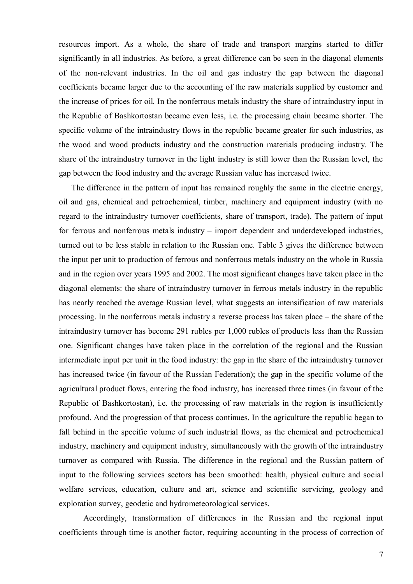resources import. As a whole, the share of trade and transport margins started to differ significantly in all industries. As before, a great difference can be seen in the diagonal elements of the non-relevant industries. In the oil and gas industry the gap between the diagonal coefficients became larger due to the accounting of the raw materials supplied by customer and the increase of prices for oil. In the nonferrous metals industry the share of intraindustry input in the Republic of Bashkortostan became even less, i.e. the processing chain became shorter. The specific volume of the intraindustry flows in the republic became greater for such industries, as the wood and wood products industry and the construction materials producing industry. The share of the intraindustry turnover in the light industry is still lower than the Russian level, the gap between the food industry and the average Russian value has increased twice.

The difference in the pattern of input has remained roughly the same in the electric energy, oil and gas, chemical and petrochemical, timber, machinery and equipment industry (with no regard to the intraindustry turnover coefficients, share of transport, trade). The pattern of input for ferrous and nonferrous metals industry – import dependent and underdeveloped industries, turned out to be less stable in relation to the Russian one. Table 3 gives the difference between the input per unit to production of ferrous and nonferrous metals industry on the whole in Russia and in the region over years 1995 and 2002. The most significant changes have taken place in the diagonal elements: the share of intraindustry turnover in ferrous metals industry in the republic has nearly reached the average Russian level, what suggests an intensification of raw materials processing. In the nonferrous metals industry a reverse process has taken place – the share of the intraindustry turnover has become 291 rubles per 1,000 rubles of products less than the Russian one. Significant changes have taken place in the correlation of the regional and the Russian intermediate input per unit in the food industry: the gap in the share of the intraindustry turnover has increased twice (in favour of the Russian Federation); the gap in the specific volume of the agricultural product flows, entering the food industry, has increased three times (in favour of the Republic of Bashkortostan), i.e. the processing of raw materials in the region is insufficiently profound. And the progression of that process continues. In the agriculture the republic began to fall behind in the specific volume of such industrial flows, as the chemical and petrochemical industry, machinery and equipment industry, simultaneously with the growth of the intraindustry turnover as compared with Russia. The difference in the regional and the Russian pattern of input to the following services sectors has been smoothed: health, physical culture and social welfare services, education, culture and art, science and scientific servicing, geology and exploration survey, geodetic and hydrometeorological services.

Accordingly, transformation of differences in the Russian and the regional input coefficients through time is another factor, requiring accounting in the process of correction of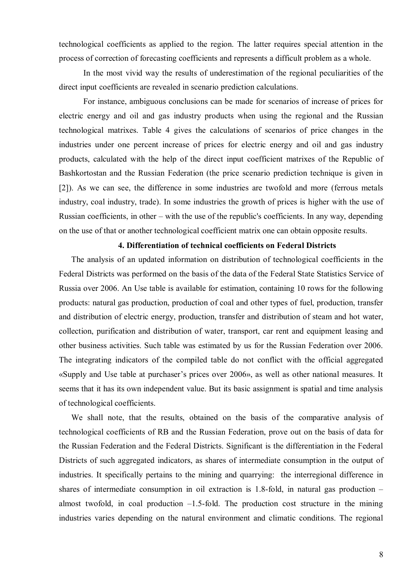technological coefficients as applied to the region. The latter requires special attention in the process of correction of forecasting coefficients and represents a difficult problem as a whole.

In the most vivid way the results of underestimation of the regional peculiarities of the direct input coefficients are revealed in scenario prediction calculations.

For instance, ambiguous conclusions can be made for scenarios of increase of prices for electric energy and oil and gas industry products when using the regional and the Russian technological matrixes. Table 4 gives the calculations of scenarios of price changes in the industries under one percent increase of prices for electric energy and oil and gas industry products, calculated with the help of the direct input coefficient matrixes of the Republic of Bashkortostan and the Russian Federation (the price scenario prediction technique is given in [2]). As we can see, the difference in some industries are twofold and more (ferrous metals industry, coal industry, trade). In some industries the growth of prices is higher with the use of Russian coefficients, in other – with the use of the republic's coefficients. In any way, depending on the use of that or another technological coefficient matrix one can obtain opposite results.

#### **4. Differentiation of technical coefficients on Federal Districts**

The analysis of an updated information on distribution of technological coefficients in the Federal Districts was performed on the basis of the data of the Federal State Statistics Service of Russia over 2006. An Use table is available for estimation, containing 10 rows for the following products: natural gas production, production of coal and other types of fuel, production, transfer and distribution of electric energy, production, transfer and distribution of steam and hot water, collection, purification and distribution of water, transport, car rent and equipment leasing and other business activities. Such table was estimated by us for the Russian Federation over 2006. The integrating indicators of the compiled table do not conflict with the official aggregated «Supply and Use table at purchaser's prices over 2006», as well as other national measures. It seems that it has its own independent value. But its basic assignment is spatial and time analysis of technological coefficients.

We shall note, that the results, obtained on the basis of the comparative analysis of technological coefficients of RB and the Russian Federation, prove out on the basis of data for the Russian Federation and the Federal Districts. Significant is the differentiation in the Federal Districts of such aggregated indicators, as shares of intermediate consumption in the output of industries. It specifically pertains to the mining and quarrying: the interregional difference in shares of intermediate consumption in oil extraction is 1.8-fold, in natural gas production – almost twofold, in coal production  $-1.5$ -fold. The production cost structure in the mining industries varies depending on the natural environment and climatic conditions. The regional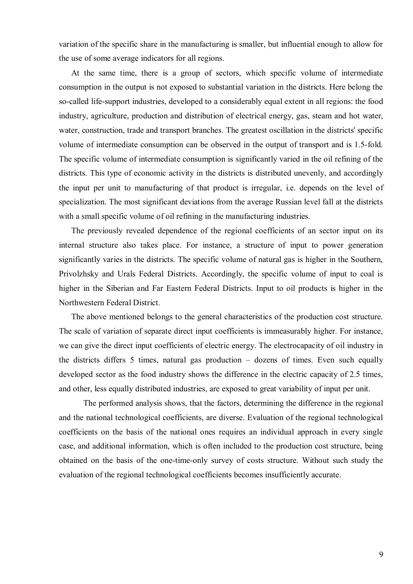variation of the specific share in the manufacturing is smaller, but influential enough to allow for the use of some average indicators for all regions.

At the same time, there is a group of sectors, which specific volume of intermediate consumption in the output is not exposed to substantial variation in the districts. Here belong the so-called life-support industries, developed to a considerably equal extent in all regions: the food industry, agriculture, production and distribution of electrical energy, gas, steam and hot water, water, construction, trade and transport branches. The greatest oscillation in the districts' specific volume of intermediate consumption can be observed in the output of transport and is 1.5-fold. The specific volume of intermediate consumption is significantly varied in the oil refining of the districts. This type of economic activity in the districts is distributed unevenly, and accordingly the input per unit to manufacturing of that product is irregular, i.e. depends on the level of specialization. The most significant deviations from the average Russian level fall at the districts with a small specific volume of oil refining in the manufacturing industries.

The previously revealed dependence of the regional coefficients of an sector input on its internal structure also takes place. For instance, a structure of input to power generation significantly varies in the districts. The specific volume of natural gas is higher in the Southern, Privolzhsky and Urals Federal Districts. Accordingly, the specific volume of input to coal is higher in the Siberian and Far Eastern Federal Districts. Input to oil products is higher in the Northwestern Federal District.

The above mentioned belongs to the general characteristics of the production cost structure. The scale of variation of separate direct input coefficients is immeasurably higher. For instance, we can give the direct input coefficients of electric energy. The electrocapacity of oil industry in the districts differs 5 times, natural gas production – dozens of times. Even such equally developed sector as the food industry shows the difference in the electric capacity of 2.5 times, and other, less equally distributed industries, are exposed to great variability of input per unit.

The performed analysis shows, that the factors, determining the difference in the regional and the national technological coefficients, are diverse. Evaluation of the regional technological coefficients on the basis of the national ones requires an individual approach in every single case, and additional information, which is often included to the production cost structure, being obtained on the basis of the one-time-only survey of costs structure. Without such study the evaluation of the regional technological coefficients becomes insufficiently accurate.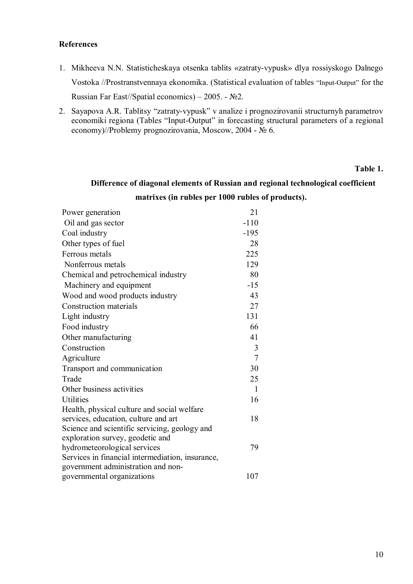## **References**

- 1. Mikheeva N.N. Statisticheskaya otsenka tablits «zatraty-vypusk» dlya rossiyskogo Dalnego Vostoka //Prostranstvennaya ekonomika. (Statistical evaluation of tables "Input-Output" for the Russian Far East//Spatial economics) – 2005. - №2.
- 2. Sayapova A.R. Tablitsy "zatraty-vypusk" v analize i prognozirovanii structurnyh parametrov economiki regiona (Tables "Input-Output" in forecasting structural parameters of a regional economy)//Problemy prognozirovania, Moscow, 2004 - № 6.

#### **Table 1.**

## **Difference of diagonal elements of Russian and regional technological coefficient**

## **matrixes (in rubles per 1000 rubles of products).**

| Power generation                                 | 21             |
|--------------------------------------------------|----------------|
| Oil and gas sector                               | $-110$         |
| Coal industry                                    | $-195$         |
| Other types of fuel                              | 28             |
| Ferrous metals                                   | 225            |
| Nonferrous metals                                | 129            |
| Chemical and petrochemical industry              | 80             |
| Machinery and equipment                          | $-15$          |
| Wood and wood products industry                  | 43             |
| Construction materials                           | 27             |
| Light industry                                   | 131            |
| Food industry                                    | 66             |
| Other manufacturing                              | 41             |
| Construction                                     | 3              |
| Agriculture                                      | $\overline{7}$ |
| Transport and communication                      | 30             |
| Trade                                            | 25             |
| Other business activities                        | $\mathbf{1}$   |
| <b>Utilities</b>                                 | 16             |
| Health, physical culture and social welfare      |                |
| services, education, culture and art             | 18             |
| Science and scientific servicing, geology and    |                |
| exploration survey, geodetic and                 |                |
| hydrometeorological services                     | 79             |
| Services in financial intermediation, insurance, |                |
| government administration and non-               |                |
| governmental organizations                       | 107            |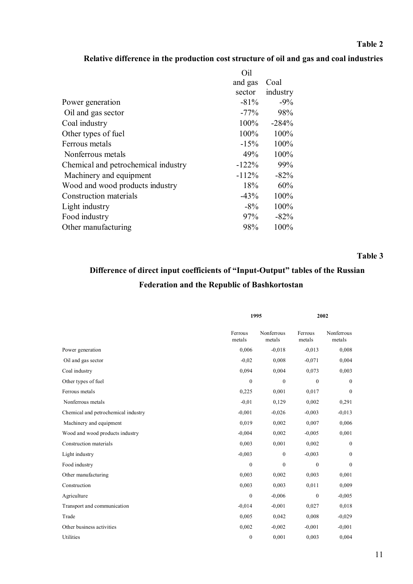## **Table 2**

## **Relative difference in the production cost structure of oil and gas and coal industries**

|                                     | Oil     |          |
|-------------------------------------|---------|----------|
|                                     | and gas | Coal     |
|                                     | sector  | industry |
| Power generation                    | $-81%$  | $-9\%$   |
| Oil and gas sector                  | $-77%$  | 98%      |
| Coal industry                       | 100%    | $-284%$  |
| Other types of fuel                 | 100%    | 100%     |
| Ferrous metals                      | $-15%$  | 100%     |
| Nonferrous metals                   | 49%     | 100%     |
| Chemical and petrochemical industry | $-122%$ | 99%      |
| Machinery and equipment             | $-112%$ | $-82%$   |
| Wood and wood products industry     | 18%     | 60%      |
| Construction materials              | $-43%$  | 100%     |
| Light industry                      | $-8\%$  | 100%     |
| Food industry                       | 97%     | $-82%$   |
| Other manufacturing                 | 98%     | 100%     |

**Table 3**

# **Difference of direct input coefficients of "Input-Output" tables of the Russian Federation and the Republic of Bashkortostan**

|                                     |                   | 1995                 |                   | 2002                 |  |
|-------------------------------------|-------------------|----------------------|-------------------|----------------------|--|
|                                     | Ferrous<br>metals | Nonferrous<br>metals | Ferrous<br>metals | Nonferrous<br>metals |  |
| Power generation                    | 0,006             | $-0,018$             | $-0,013$          | 0,008                |  |
| Oil and gas sector                  | $-0,02$           | 0,008                | $-0,071$          | 0,004                |  |
| Coal industry                       | 0,094             | 0,004                | 0,073             | 0,003                |  |
| Other types of fuel                 | $\mathbf{0}$      | $\mathbf{0}$         | $\mathbf{0}$      | $\boldsymbol{0}$     |  |
| Ferrous metals                      | 0,225             | 0,001                | 0,017             | $\boldsymbol{0}$     |  |
| Nonferrous metals                   | $-0,01$           | 0,129                | 0,002             | 0,291                |  |
| Chemical and petrochemical industry | $-0.001$          | $-0.026$             | $-0,003$          | $-0.013$             |  |
| Machinery and equipment             | 0,019             | 0,002                | 0,007             | 0,006                |  |
| Wood and wood products industry     | $-0,004$          | 0,002                | $-0,005$          | 0,001                |  |
| Construction materials              | 0,003             | 0,001                | 0,002             | $\boldsymbol{0}$     |  |
| Light industry                      | $-0,003$          | $\boldsymbol{0}$     | $-0,003$          | $\boldsymbol{0}$     |  |
| Food industry                       | $\mathbf{0}$      | $\theta$             | $\mathbf{0}$      | $\boldsymbol{0}$     |  |
| Other manufacturing                 | 0,003             | 0,002                | 0,003             | 0,001                |  |
| Construction                        | 0,003             | 0,003                | 0,011             | 0,009                |  |
| Agriculture                         | $\boldsymbol{0}$  | $-0,006$             | $\boldsymbol{0}$  | $-0,005$             |  |
| Transport and communication         | $-0,014$          | $-0,001$             | 0,027             | 0,018                |  |
| Trade                               | 0,005             | 0,042                | 0,008             | $-0,029$             |  |
| Other business activities           | 0,002             | $-0,002$             | $-0,001$          | $-0,001$             |  |
| Utilities                           | $\boldsymbol{0}$  | 0,001                | 0,003             | 0,004                |  |
|                                     |                   |                      |                   |                      |  |